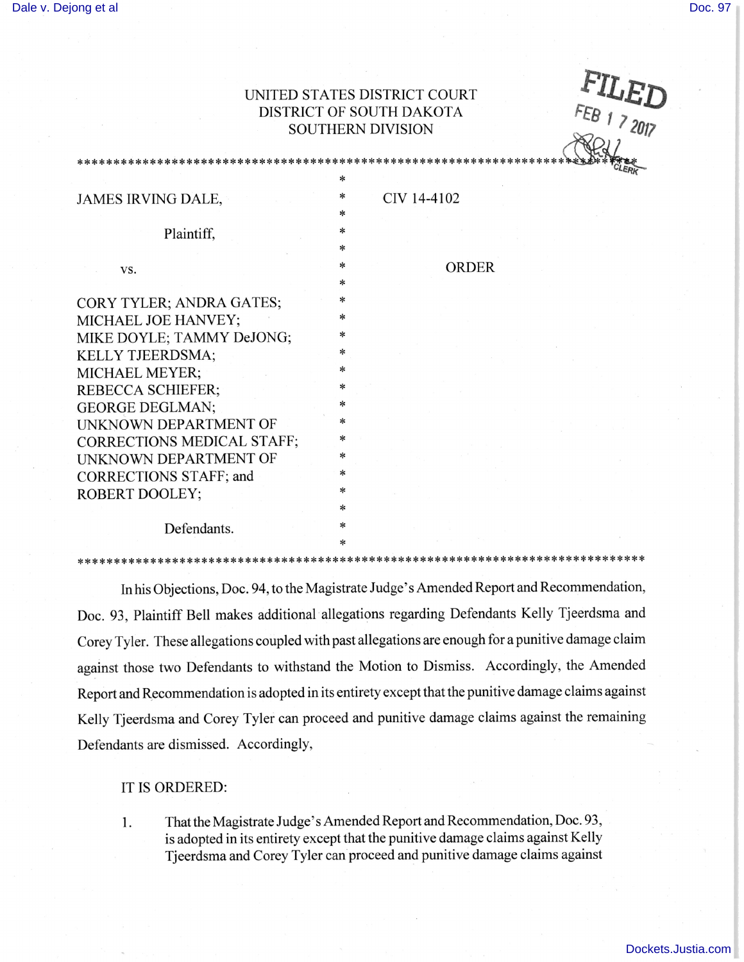## UNITED STATES DISTRICT COURT DISTRICT OF SOUTH DAKOTA SOUTHERN DIVISION

|                                                                                      | UNITED STATES DISTRICT COURT<br>FEB 1 7 2017<br>DISTRICT OF SOUTH DAKOTA<br><b>SOUTHERN DIVISION</b> |
|--------------------------------------------------------------------------------------|------------------------------------------------------------------------------------------------------|
|                                                                                      |                                                                                                      |
| JAMES IRVING DALE,                                                                   | ∗<br>CIV 14-4102<br>$\ast$<br>∗                                                                      |
| Plaintiff,                                                                           | $\ast$<br>∗                                                                                          |
| VS.                                                                                  | $\ast$<br><b>ORDER</b><br>*                                                                          |
| CORY TYLER; ANDRA GATES;<br>MICHAEL JOE HANVEY;<br>MIKE DOYLE; TAMMY DeJONG;         | $\ast$<br>$\ast$<br>*                                                                                |
| KELLY TJEERDSMA;<br>MICHAEL MEYER;<br>REBECCA SCHIEFER;                              | $\ast$<br>∗<br>$\ast$                                                                                |
| <b>GEORGE DEGLMAN;</b><br><b>UNKNOWN DEPARTMENT OF</b><br>CORRECTIONS MEDICAL STAFF; | ∗<br>$\ast$                                                                                          |
| UNKNOWN DEPARTMENT OF<br>CORRECTIONS STAFF; and<br><b>ROBERT DOOLEY;</b>             | $\ast$<br>*<br>$\ast$                                                                                |
| Defendants.                                                                          | *<br>*                                                                                               |

In his Objeetions, Doe. 94, to the Magistrate Judge's Amended Report and Recommendation, Doc. 93, Plaintiff Bell makes additional allegations regarding Defendants Kelly Tjeerdsma and Corey Tyler. These allegations coupled with past allegations are enough for a punitive damage claim against those two Defendants to withstand the Motion to Dismiss. Accordingly, the Amended Report and Recommendation is adopted in its entirety except that the punitive damage claims against Kelly Tjeerdsma and Corey Tyler can proceed and punitive damage claims against the remaining Defendants are dismissed. Accordingly,

IT IS ORDERED:

I. That the Magistrate Judge's Amended Report and Recommendation, Doe. 93, is adopted in its entirety except that the punitive damage claims against Kelly Tjeerdsma and Corey Tyler can proceed and punitive damage claims against